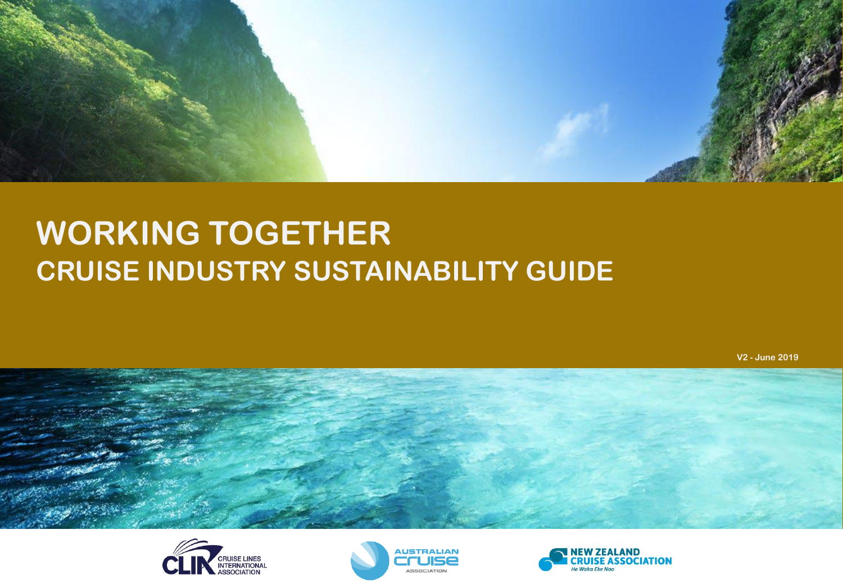

# **WORKING TOGETHER CRUISE INDUSTRY SUSTAINABILITY GUIDE**

**V2 - June 2019**







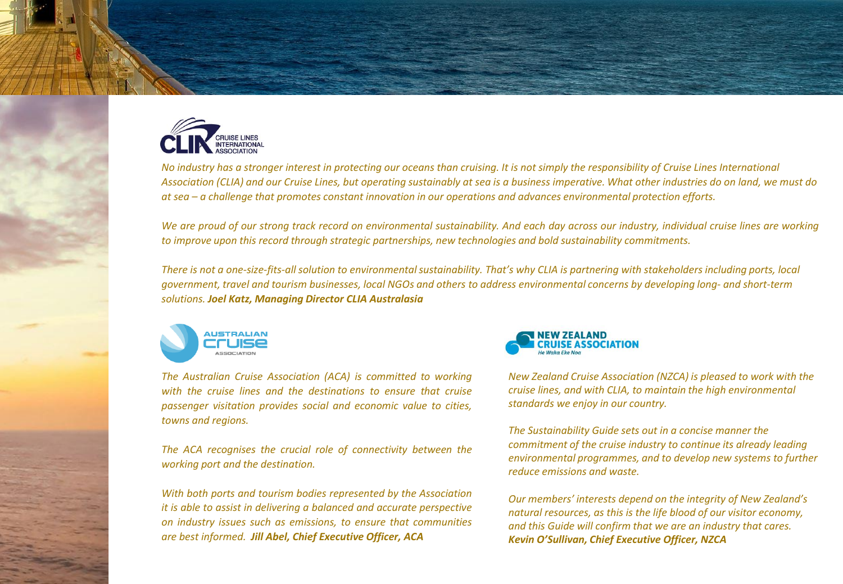

*No industry has a stronger interest in protecting our oceans than cruising. It is not simply the responsibility of Cruise Lines International Association (CLIA) and our Cruise Lines, but operating sustainably at sea is a business imperative. What other industries do on land, we must do at sea – a challenge that promotes constant innovation in our operations and advances environmental protection efforts.*

We are proud of our strong track record on environmental sustainability. And each day across our industry, individual cruise lines are working *to improve upon this record through strategic partnerships, new technologies and bold sustainability commitments.*

*There is not a one-size-fits-all solution to environmental sustainability. That's why CLIA is partnering with stakeholders including ports, local government, travel and tourism businesses, local NGOs and others to address environmental concerns by developing long- and short-term solutions. Joel Katz, Managing Director CLIA Australasia*



*The Australian Cruise Association (ACA) is committed to working with the cruise lines and the destinations to ensure that cruise passenger visitation provides social and economic value to cities, towns and regions.*

*The ACA recognises the crucial role of connectivity between the working port and the destination.*

*With both ports and tourism bodies represented by the Association it is able to assist in delivering a balanced and accurate perspective on industry issues such as emissions, to ensure that communities are best informed. Jill Abel, Chief Executive Officer, ACA*



*New Zealand Cruise Association (NZCA) is pleased to work with the cruise lines, and with CLIA, to maintain the high environmental standards we enjoy in our country.*

*The Sustainability Guide sets out in a concise manner the commitment of the cruise industry to continue its already leading environmental programmes, and to develop new systems to further reduce emissions and waste.*

*Our members' interests depend on the integrity of New Zealand's natural resources, as this is the life blood of our visitor economy, and this Guide will confirm that we are an industry that cares. Kevin O'Sullivan, Chief Executive Officer, NZCA*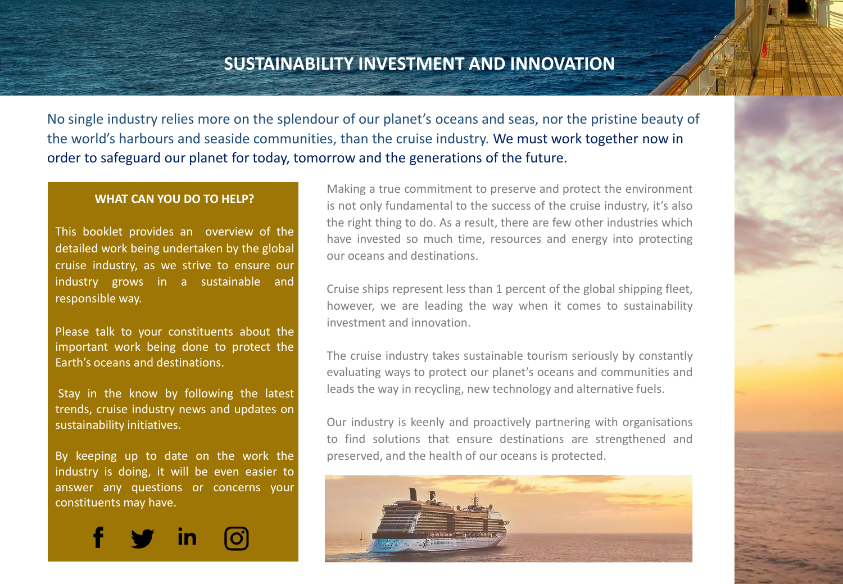# **SUSTAINABILITY INVESTMENT AND INNOVATION**

No single industry relies more on the splendour of our planet's oceans and seas, nor the pristine beauty of the world's harbours and seaside communities, than the cruise industry. We must work together now in order to safeguard our planet for today, tomorrow and the generations of the future.

#### **WHAT CAN YOU DO TO HELP?**

This booklet provides an overview of the detailed work being undertaken by the global cruise industry, as we strive to ensure our industry grows in a sustainable and responsible way.

Please talk to your constituents about the important work being done to protect the Earth's oceans and destinations.

Stay in the know by following the latest trends, cruise industry news and updates on sustainability initiatives.

By keeping up to date on the work the industry is doing, it will be even easier to answer any questions or concerns your constituents may have.



Making a true commitment to preserve and protect the environment is not only fundamental to the success of the cruise industry, it's also the right thing to do. As a result, there are few other industries which have invested so much time, resources and energy into protecting our oceans and destinations.

Cruise ships represent less than 1 percent of the global shipping fleet, however, we are leading the way when it comes to sustainability investment and innovation.

The cruise industry takes sustainable tourism seriously by constantly evaluating ways to protect our planet's oceans and communities and leads the way in recycling, new technology and alternative fuels.

Our industry is keenly and proactively partnering with organisations to find solutions that ensure destinations are strengthened and preserved, and the health of our oceans is protected.

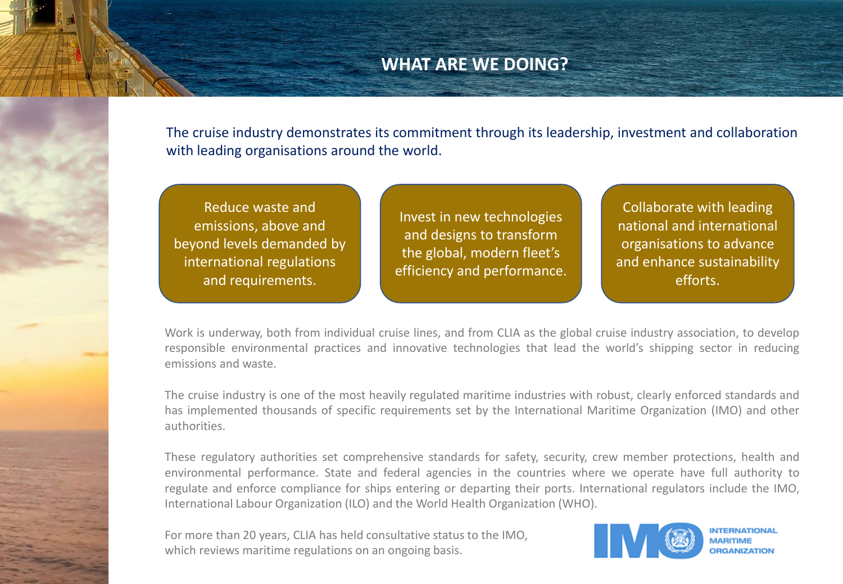# **WHAT ARE WE DOING?**

The cruise industry demonstrates its commitment through its leadership, investment and collaboration with leading organisations around the world.

Reduce waste and emissions, above and beyond levels demanded by international regulations and requirements.

Invest in new technologies and designs to transform the global, modern fleet's efficiency and performance.

Collaborate with leading national and international organisations to advance and enhance sustainability efforts.

Work is underway, both from individual cruise lines, and from CLIA as the global cruise industry association, to develop responsible environmental practices and innovative technologies that lead the world's shipping sector in reducing emissions and waste.

The cruise industry is one of the most heavily regulated maritime industries with robust, clearly enforced standards and has implemented thousands of specific requirements set by the International Maritime Organization (IMO) and other authorities.

These regulatory authorities set comprehensive standards for safety, security, crew member protections, health and environmental performance. State and federal agencies in the countries where we operate have full authority to regulate and enforce compliance for ships entering or departing their ports. International regulators include the IMO, International Labour Organization (ILO) and the World Health Organization (WHO).

For more than 20 years, CLIA has held consultative status to the IMO, which reviews maritime regulations on an ongoing basis.



**MARITIME ORGANIZATION**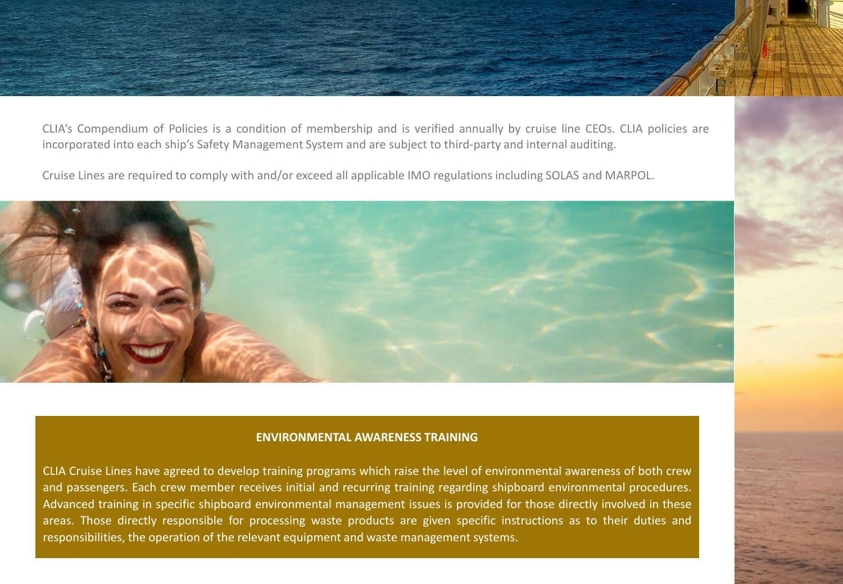CLIA's Compendium of Policies is a condition of membership and is verified annually by cruise line CEOs. CLIA policies are incorporated into each ship's Safety Management System and are subject to third-party and internal auditing.

Cruise Lines are required to comply with and/or exceed all applicable IMO regulations including SOLAS and MARPOL.



#### **ENVIRONMENTAL AWARENESS TRAINING**

CLIA Cruise Lines have agreed to develop training programs which raise the level of environmental awareness of both crew and passengers. Each crew member receives initial and recurring training regarding shipboard environmental procedures. Advanced training in specific shipboard environmental management issues is provided for those directly involved in these areas. Those directly responsible for processing waste products are given specific instructions as to their duties and responsibilities, the operation of the relevant equipment and waste management systems.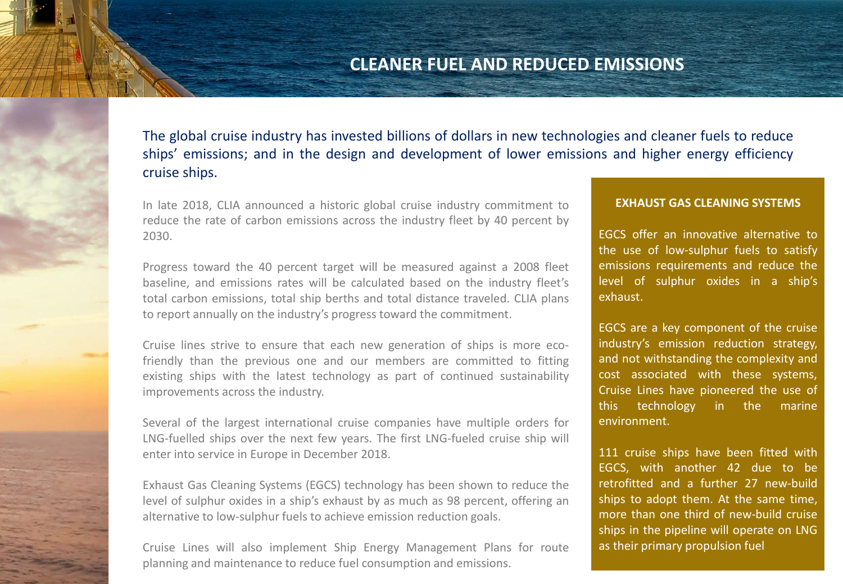# **CLEANER FUEL AND REDUCED EMISSIONS**

The global cruise industry has invested billions of dollars in new technologies and cleaner fuels to reduce ships' emissions; and in the design and development of lower emissions and higher energy efficiency cruise ships.

In late 2018, CLIA announced a historic global cruise industry commitment to reduce the rate of carbon emissions across the industry fleet by 40 percent by 2030.

Progress toward the 40 percent target will be measured against a 2008 fleet baseline, and emissions rates will be calculated based on the industry fleet's total carbon emissions, total ship berths and total distance traveled. CLIA plans to report annually on the industry's progress toward the commitment.

Cruise lines strive to ensure that each new generation of ships is more ecofriendly than the previous one and our members are committed to fitting existing ships with the latest technology as part of continued sustainability improvements across the industry.

Several of the largest international cruise companies have multiple orders for LNG-fuelled ships over the next few years. The first LNG-fueled cruise ship will enter into service in Europe in December 2018.

Exhaust Gas Cleaning Systems (EGCS) technology has been shown to reduce the level of sulphur oxides in a ship's exhaust by as much as 98 percent, offering an alternative to low-sulphur fuels to achieve emission reduction goals.

Cruise Lines will also implement Ship Energy Management Plans for route planning and maintenance to reduce fuel consumption and emissions.

#### **EXHAUST GAS CLEANING SYSTEMS**

EGCS offer an innovative alternative to the use of low-sulphur fuels to satisfy emissions requirements and reduce the level of sulphur oxides in a ship's exhaust.

EGCS are a key component of the cruise industry's emission reduction strategy, and not withstanding the complexity and cost associated with these systems, Cruise Lines have pioneered the use of this technology in the marine environment.

111 cruise ships have been fitted with EGCS, with another 42 due to be retrofitted and a further 27 new-build ships to adopt them. At the same time, more than one third of new-build cruise ships in the pipeline will operate on LNG as their primary propulsion fuel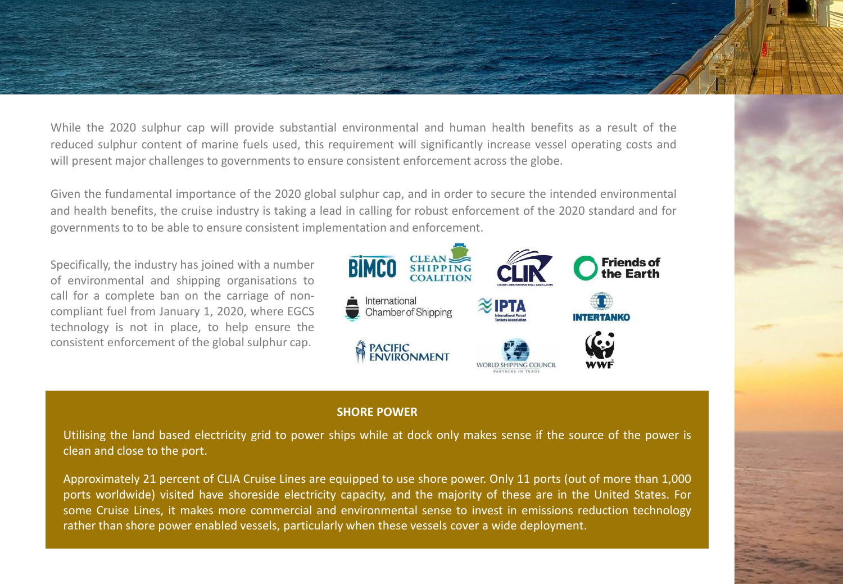While the 2020 sulphur cap will provide substantial environmental and human health benefits as a result of the reduced sulphur content of marine fuels used, this requirement will significantly increase vessel operating costs and will present major challenges to governments to ensure consistent enforcement across the globe.

Given the fundamental importance of the 2020 global sulphur cap, and in order to secure the intended environmental and health benefits, the cruise industry is taking a lead in calling for robust enforcement of the 2020 standard and for governments to to be able to ensure consistent implementation and enforcement.

Specifically, the industry has joined with a number of environmental and shipping organisations to call for a complete ban on the carriage of noncompliant fuel from January 1, 2020, where EGCS technology is not in place, to help ensure the consistent enforcement of the global sulphur cap.



#### **SHORE POWER**

Utilising the land based electricity grid to power ships while at dock only makes sense if the source of the power is clean and close to the port.

Approximately 21 percent of CLIA Cruise Lines are equipped to use shore power. Only 11 ports (out of more than 1,000 ports worldwide) visited have shoreside electricity capacity, and the majority of these are in the United States. For some Cruise Lines, it makes more commercial and environmental sense to invest in emissions reduction technology rather than shore power enabled vessels, particularly when these vessels cover a wide deployment.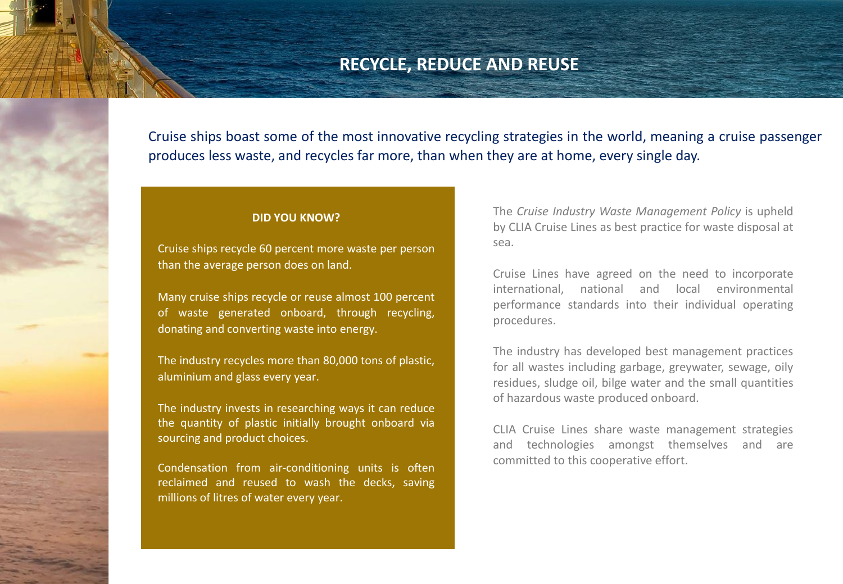### **RECYCLE, REDUCE AND REUSE**

Cruise ships boast some of the most innovative recycling strategies in the world, meaning a cruise passenger produces less waste, and recycles far more, than when they are at home, every single day.

#### **DID YOU KNOW?**

Cruise ships recycle 60 percent more waste per person than the average person does on land.

Many cruise ships recycle or reuse almost 100 percent of waste generated onboard, through recycling, donating and converting waste into energy.

The industry recycles more than 80,000 tons of plastic, aluminium and glass every year.

The industry invests in researching ways it can reduce the quantity of plastic initially brought onboard via sourcing and product choices.

Condensation from air-conditioning units is often reclaimed and reused to wash the decks, saving millions of litres of water every year.

The *Cruise Industry Waste Management Policy* is upheld by CLIA Cruise Lines as best practice for waste disposal at sea.

Cruise Lines have agreed on the need to incorporate international, national and local environmental performance standards into their individual operating procedures.

The industry has developed best management practices for all wastes including garbage, greywater, sewage, oily residues, sludge oil, bilge water and the small quantities of hazardous waste produced onboard.

CLIA Cruise Lines share waste management strategies and technologies amongst themselves and are committed to this cooperative effort.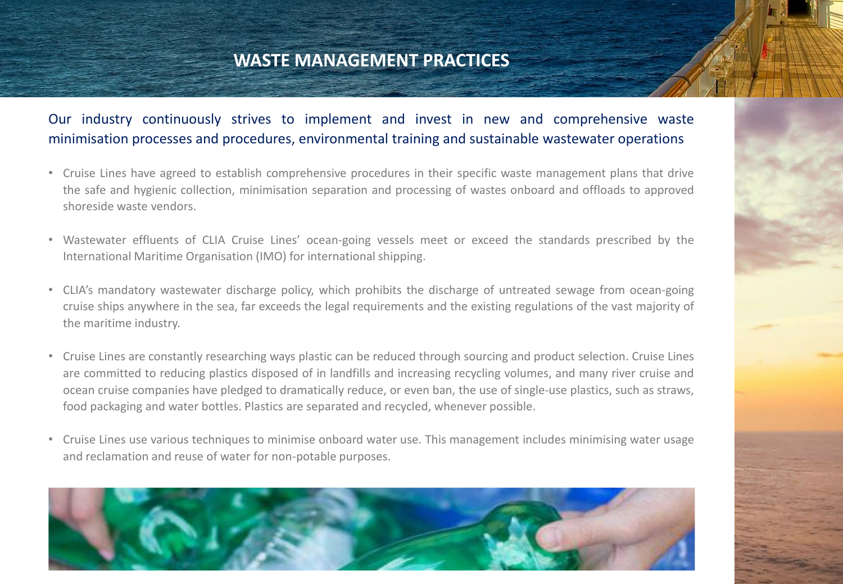# **WASTE MANAGEMENT PRACTICES**

### Our industry continuously strives to implement and invest in new and comprehensive waste minimisation processes and procedures, environmental training and sustainable wastewater operations

- Cruise Lines have agreed to establish comprehensive procedures in their specific waste management plans that drive the safe and hygienic collection, minimisation separation and processing of wastes onboard and offloads to approved shoreside waste vendors.
- Wastewater effluents of CLIA Cruise Lines' ocean-going vessels meet or exceed the standards prescribed by the International Maritime Organisation (IMO) for international shipping.
- CLIA's mandatory wastewater discharge policy, which prohibits the discharge of untreated sewage from ocean-going cruise ships anywhere in the sea, far exceeds the legal requirements and the existing regulations of the vast majority of the maritime industry.
- Cruise Lines are constantly researching ways plastic can be reduced through sourcing and product selection. Cruise Lines are committed to reducing plastics disposed of in landfills and increasing recycling volumes, and many river cruise and ocean cruise companies have pledged to dramatically reduce, or even ban, the use of single-use plastics, such as straws, food packaging and water bottles. Plastics are separated and recycled, whenever possible.
- Cruise Lines use various techniques to minimise onboard water use. This management includes minimising water usage and reclamation and reuse of water for non-potable purposes.

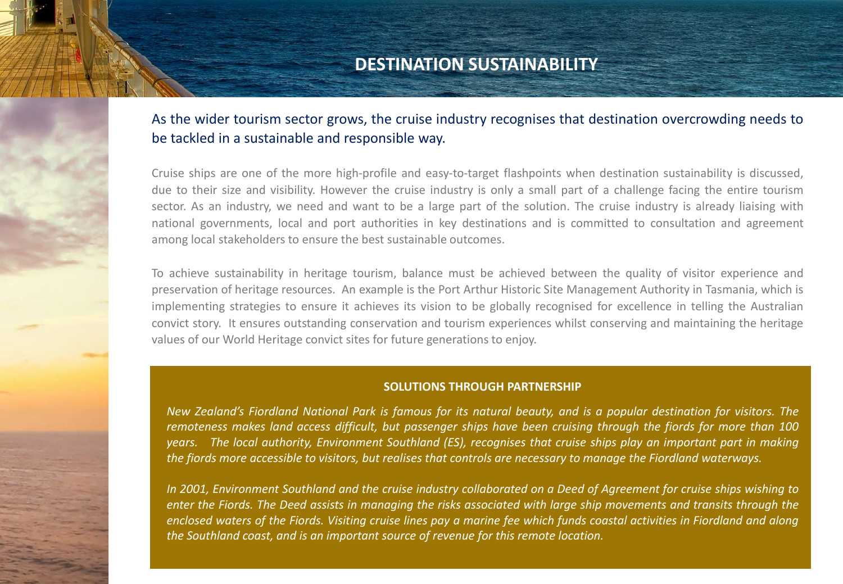### **DESTINATION SUSTAINABILITY**

### As the wider tourism sector grows, the cruise industry recognises that destination overcrowding needs to be tackled in a sustainable and responsible way.

Cruise ships are one of the more high-profile and easy-to-target flashpoints when destination sustainability is discussed, due to their size and visibility. However the cruise industry is only a small part of a challenge facing the entire tourism sector. As an industry, we need and want to be a large part of the solution. The cruise industry is already liaising with national governments, local and port authorities in key destinations and is committed to consultation and agreement among local stakeholders to ensure the best sustainable outcomes.

To achieve sustainability in heritage tourism, balance must be achieved between the quality of visitor experience and preservation of heritage resources. An example is the Port Arthur Historic Site Management Authority in Tasmania, which is implementing strategies to ensure it achieves its vision to be globally recognised for excellence in telling the Australian convict story. It ensures outstanding conservation and tourism experiences whilst conserving and maintaining the heritage values of our World Heritage convict sites for future generations to enjoy.

#### **SOLUTIONS THROUGH PARTNERSHIP**

New Zealand's Fiordland National Park is famous for its natural beauty, and is a popular destination for visitors. The remoteness makes land access difficult, but passenger ships have been cruising through the fiords for more than 100 years. The local authority, Environment Southland (ES), recognises that cruise ships play an important part in making the fiords more accessible to visitors, but realises that controls are necessary to manage the Fiordland waterways.

In 2001, Environment Southland and the cruise industry collaborated on a Deed of Agreement for cruise ships wishing to enter the Fiords. The Deed assists in managing the risks associated with large ship movements and transits through the enclosed waters of the Fiords. Visiting cruise lines pay a marine fee which funds coastal activities in Fiordland and along *the Southland coast, and is an important source of revenue for this remote location.*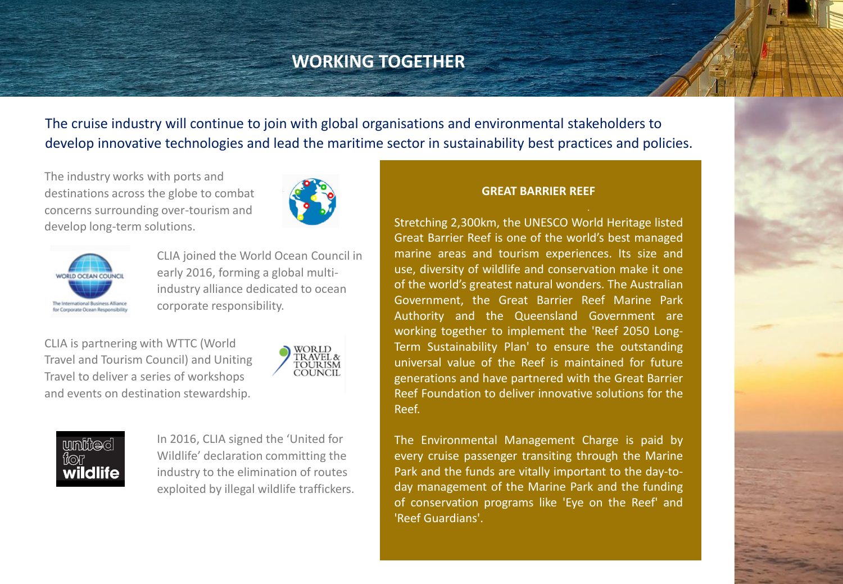# **WORKING TOGETHER**

The cruise industry will continue to join with global organisations and environmental stakeholders to develop innovative technologies and lead the maritime sector in sustainability best practices and policies.

The industry works with ports and destinations across the globe to combat concerns surrounding over-tourism and develop long-term solutions.





CLIA joined the World Ocean Council in early 2016, forming a global multiindustry alliance dedicated to ocean corporate responsibility.

CLIA is partnering with WTTC (World Travel and Tourism Council) and Uniting Travel to deliver a series of workshops and events on destination stewardship.



### united fior wildlife

In 2016, CLIA signed the 'United for Wildlife' declaration committing the industry to the elimination of routes exploited by illegal wildlife traffickers.

#### **GREAT BARRIER REEF**

Stretching 2,300km, the UNESCO World Heritage listed Great Barrier Reef is one of the world's best managed marine areas and tourism experiences. Its size and use, diversity of wildlife and conservation make it one of the world's greatest natural wonders. The Australian Government, the Great Barrier Reef Marine Park Authority and the Queensland Government are working together to implement the 'Reef 2050 Long-Term Sustainability Plan' to ensure the outstanding universal value of the Reef is maintained for future generations and have partnered with the Great Barrier Reef Foundation to deliver innovative solutions for the Reef.

The Environmental Management Charge is paid by every cruise passenger transiting through the Marine Park and the funds are vitally important to the day-today management of the Marine Park and the funding of conservation programs like 'Eye on the Reef' and 'Reef Guardians'.